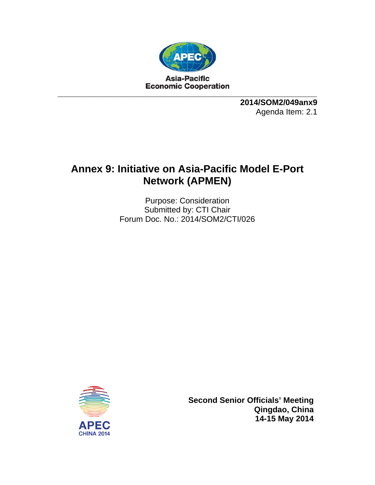

**2014/SOM2/049anx9**  Agenda Item: 2.1

# **Annex 9: Initiative on Asia-Pacific Model E-Port Network (APMEN)**

Purpose: Consideration Submitted by: CTI Chair Forum Doc. No.: 2014/SOM2/CTI/026



**Second Senior Officials' Meeting Qingdao, China 14-15 May 2014**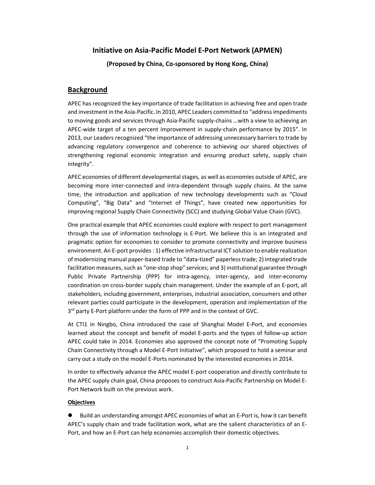## **Initiative on Asia‐Pacific Model E‐Port Network (APMEN)**

**(Proposed by China, Co‐sponsored by Hong Kong, China)**

### **Background**

APEC has recognized the key importance of trade facilitation in achieving free and open trade and investment in the Asia-Pacific. In 2010, APEC Leaders committed to "address impediments to moving goods and services through Asia‐Pacific supply‐chains …with a view to achieving an APEC‐wide target of a ten percent improvement in supply‐chain performance by 2015". In 2013, our Leaders recognized "the importance of addressing unnecessary barriers to trade by advancing regulatory convergence and coherence to achieving our shared objectives of strengthening regional economic integration and ensuring product safety, supply chain integrity".

APEC economies of different developmental stages, as well as economies outside of APEC, are becoming more inter‐connected and intra‐dependent through supply chains. At the same time, the introduction and application of new technology developments such as "Cloud Computing", "Big Data" and "Internet of Things", have created new opportunities for improving regional Supply Chain Connectivity (SCC) and studying Global Value Chain (GVC).

One practical example that APEC economies could explore with respect to port management through the use of information technology is E‐Port. We believe this is an integrated and pragmatic option for economies to consider to promote connectivity and improve business environment. An E‐port provides: 1) effective infrastructural ICT solution to enable realization of modernizing manual paper‐based trade to "data‐tized" paperlesstrade; 2) integrated trade facilitation measures, such as "one-stop shop" services; and 3) institutional guarantee through Public Private Partnership (PPP) for intra-agency, inter-agency, and inter-economy coordination on cross‐border supply chain management. Under the example of an E‐port, all stakeholders, including government, enterprises, industrial association, consumers and other relevant parties could participate in the development, operation and implementation of the 3<sup>rd</sup> party E-Port platform under the form of PPP and in the context of GVC.

At CTI1 in Ningbo, China introduced the case of Shanghai Model E‐Port, and economies learned about the concept and benefit of model E‐ports and the types of follow‐up action APEC could take in 2014. Economies also approved the concept note of "Promoting Supply Chain Connectivity through a Model E‐Port Initiative", which proposed to hold a seminar and carry out a study on the model E‐Ports nominated by the interested economies in 2014.

In order to effectively advance the APEC model E‐port cooperation and directly contribute to the APEC supply chain goal, China proposes to construct Asia‐Pacific Partnership on Model E‐ Port Network built on the previous work.

#### **Objectives**

 Build an understanding amongst APEC economies of what an E‐Port is, how it can benefit APEC's supply chain and trade facilitation work, what are the salient characteristics of an E‐ Port, and how an E‐Port can help economies accomplish their domestic objectives.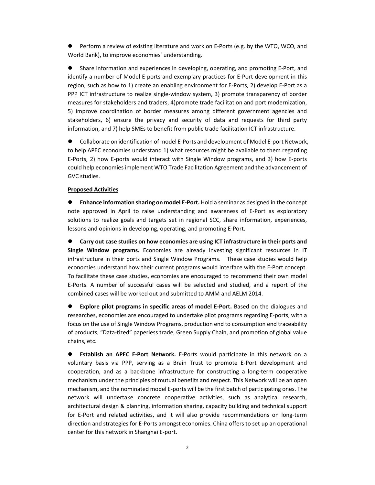● Perform a review of existing literature and work on E-Ports (e.g. by the WTO, WCO, and World Bank), to improve economies' understanding.

 Share information and experiences in developing, operating, and promoting E‐Port, and identify a number of Model E‐ports and exemplary practices for E‐Port development in this region, such as how to 1) create an enabling environment for E‐Ports, 2) develop E‐Port as a PPP ICT infrastructure to realize single-window system, 3) promote transparency of border measures for stakeholders and traders, 4)promote trade facilitation and port modernization, 5) improve coordination of border measures among different government agencies and stakeholders, 6) ensure the privacy and security of data and requests for third party information, and 7) help SMEs to benefit from public trade facilitation ICT infrastructure.

 Collaborate on identification of model E‐Ports and development of Model E‐port Network, to help APEC economies understand 1) what resources might be available to them regarding E‐Ports, 2) how E‐ports would interact with Single Window programs, and 3) how E‐ports could help economies implement WTO Trade Facilitation Agreement and the advancement of GVC studies.

#### **Proposed Activities**

 **Enhance information sharing on model E‐Port.** Hold a seminar as designed in the concept note approved in April to raise understanding and awareness of E‐Port as exploratory solutions to realize goals and targets set in regional SCC, share information, experiences, lessons and opinions in developing, operating, and promoting E‐Port.

 **Carry out case studies on how economies are using ICT infrastructure in their ports and Single Window programs.** Economies are already investing significant resources in IT infrastructure in their ports and Single Window Programs. These case studies would help economies understand how their current programs would interface with the E‐Port concept. To facilitate these case studies, economies are encouraged to recommend their own model E‐Ports. A number of successful cases will be selected and studied, and a report of the combined cases will be worked out and submitted to AMM and AELM 2014.

 **Explore pilot programs in specific areas of model E‐Port.** Based on the dialogues and researches, economies are encouraged to undertake pilot programs regarding E‐ports, with a focus on the use of Single Window Programs, production end to consumption end traceability of products, "Data‐tized" paperless trade, Green Supply Chain, and promotion of global value chains, etc.

 **Establish an APEC E‐Port Network.** E‐Ports would participate in this network on a voluntary basis via PPP, serving as a Brain Trust to promote E‐Port development and cooperation, and as a backbone infrastructure for constructing a long‐term cooperative mechanism under the principles of mutual benefits and respect. This Network will be an open mechanism, and the nominated model E‐ports will be the first batch of participating ones. The network will undertake concrete cooperative activities, such as analytical research, architectural design & planning, information sharing, capacity building and technical support for E-Port and related activities, and it will also provide recommendations on long-term direction and strategies for E‐Ports amongst economies. China offers to set up an operational center for this network in Shanghai E‐port.